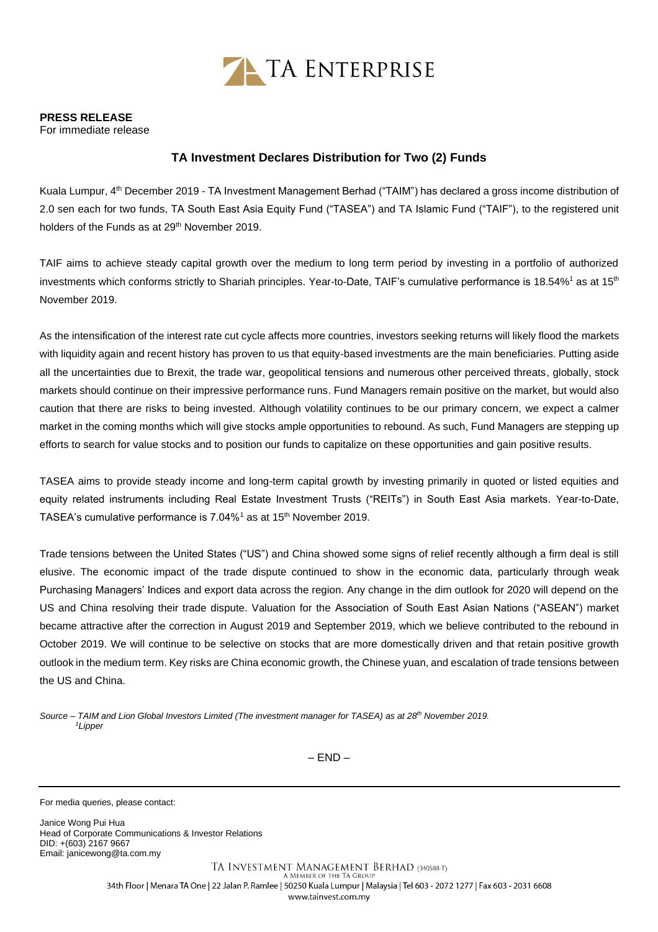

## **PRESS RELEASE**

For immediate release

## **TA Investment Declares Distribution for Two (2) Funds**

Kuala Lumpur, 4<sup>th</sup> December 2019 - TA Investment Management Berhad ("TAIM") has declared a gross income distribution of 2.0 sen each for two funds, TA South East Asia Equity Fund ("TASEA") and TA Islamic Fund ("TAIF"), to the registered unit holders of the Funds as at 29<sup>th</sup> November 2019.

TAIF aims to achieve steady capital growth over the medium to long term period by investing in a portfolio of authorized investments which conforms strictly to Shariah principles. Year-to-Date, TAIF's cumulative performance is 18.54%<sup>1</sup> as at 15<sup>th</sup> November 2019.

As the intensification of the interest rate cut cycle affects more countries, investors seeking returns will likely flood the markets with liquidity again and recent history has proven to us that equity-based investments are the main beneficiaries. Putting aside all the uncertainties due to Brexit, the trade war, geopolitical tensions and numerous other perceived threats, globally, stock markets should continue on their impressive performance runs. Fund Managers remain positive on the market, but would also caution that there are risks to being invested. Although volatility continues to be our primary concern, we expect a calmer market in the coming months which will give stocks ample opportunities to rebound. As such, Fund Managers are stepping up efforts to search for value stocks and to position our funds to capitalize on these opportunities and gain positive results.

TASEA aims to provide steady income and long-term capital growth by investing primarily in quoted or listed equities and equity related instruments including Real Estate Investment Trusts ("REITs") in South East Asia markets. Year-to-Date, TASEA's cumulative performance is 7.04%<sup>1</sup> as at 15<sup>th</sup> November 2019.

Trade tensions between the United States ("US") and China showed some signs of relief recently although a firm deal is still elusive. The economic impact of the trade dispute continued to show in the economic data, particularly through weak Purchasing Managers' Indices and export data across the region. Any change in the dim outlook for 2020 will depend on the US and China resolving their trade dispute. Valuation for the Association of South East Asian Nations ("ASEAN") market became attractive after the correction in August 2019 and September 2019, which we believe contributed to the rebound in October 2019. We will continue to be selective on stocks that are more domestically driven and that retain positive growth outlook in the medium term. Key risks are China economic growth, the Chinese yuan, and escalation of trade tensions between the US and China.

*Source – TAIM and Lion Global Investors Limited (The investment manager for TASEA) as at 28th November 2019. <sup>1</sup>Lipper*

– END –

For media queries, please contact:

Janice Wong Pui Hua Head of Corporate Communications & Investor Relations DID: +(603) 2167 9667 Email[: janicewong@ta.com.my](mailto:janicewong@ta.com.my)

> TA INVESTMENT MANAGEMENT BERHAD (340588-T) A MEMBER OF THE TA GROUP 34th Floor | Menara TA One | 22 Jalan P. Ramlee | 50250 Kuala Lumpur | Malaysia | Tel 603 - 2072 1277 | Fax 603 - 2031 6608 www.tainvest.com.my